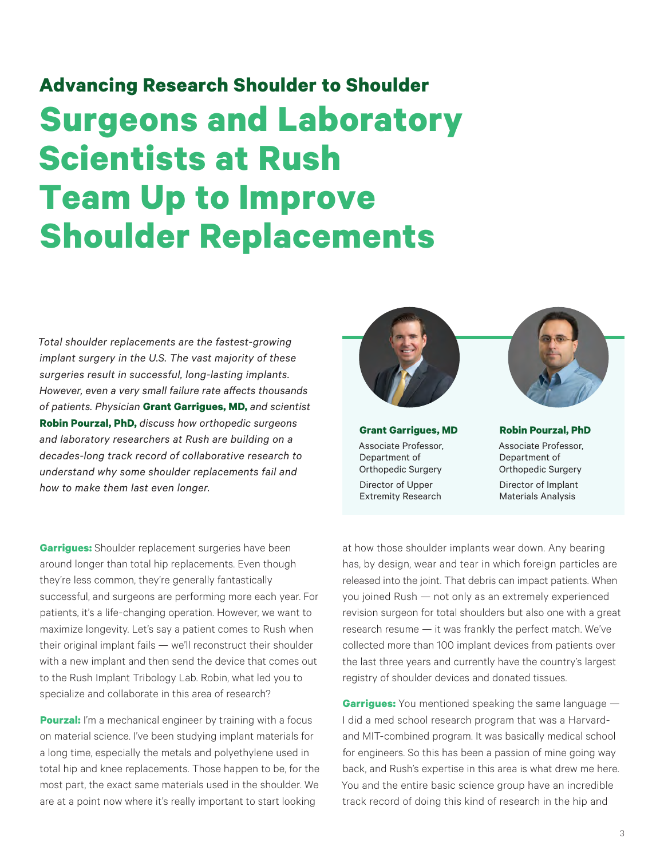## **Advancing Research Shoulder to Shoulder Surgeons and Laboratory Scientists at Rush Team Up to Improve Shoulder Replacements**

*Total shoulder replacements are the fastest-growing implant surgery in the U.S. The vast majority of these surgeries result in successful, long-lasting implants. However, even a very small failure rate affects thousands of patients. Physician* **Grant Garrigues, MD,** *and scientist*  **Robin Pourzal, PhD,** *discuss how orthopedic surgeons and laboratory researchers at Rush are building on a decades-long track record of collaborative research to understand why some shoulder replacements fail and how to make them last even longer.*

**Garrigues:** Shoulder replacement surgeries have been around longer than total hip replacements. Even though they're less common, they're generally fantastically successful, and surgeons are performing more each year. For patients, it's a life-changing operation. However, we want to maximize longevity. Let's say a patient comes to Rush when their original implant fails — we'll reconstruct their shoulder with a new implant and then send the device that comes out to the Rush Implant Tribology Lab. Robin, what led you to specialize and collaborate in this area of research?

**Pourzal:** I'm a mechanical engineer by training with a focus on material science. I've been studying implant materials for a long time, especially the metals and polyethylene used in total hip and knee replacements. Those happen to be, for the most part, the exact same materials used in the shoulder. We are at a point now where it's really important to start looking



**Grant Garrigues, MD** Associate Professor, Department of Orthopedic Surgery Director of Upper Extremity Research



Associate Professor, Department of Orthopedic Surgery Director of Implant Materials Analysis

at how those shoulder implants wear down. Any bearing has, by design, wear and tear in which foreign particles are released into the joint. That debris can impact patients. When you joined Rush — not only as an extremely experienced revision surgeon for total shoulders but also one with a great research resume — it was frankly the perfect match. We've collected more than 100 implant devices from patients over the last three years and currently have the country's largest registry of shoulder devices and donated tissues.

**Garrigues:** You mentioned speaking the same language — I did a med school research program that was a Harvardand MIT-combined program. It was basically medical school for engineers. So this has been a passion of mine going way back, and Rush's expertise in this area is what drew me here. You and the entire basic science group have an incredible track record of doing this kind of research in the hip and